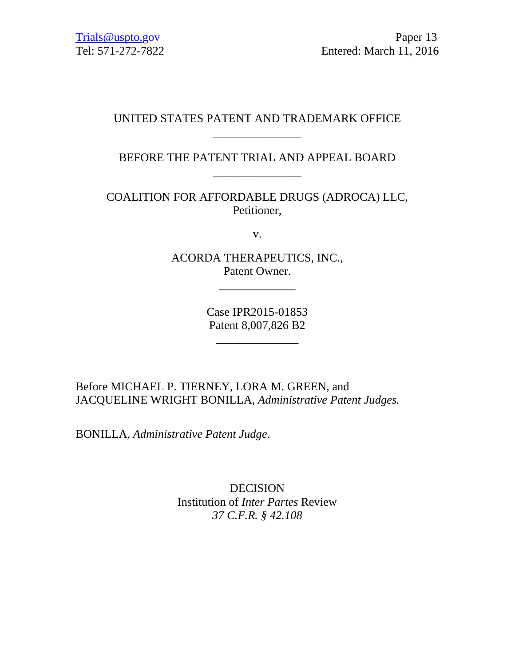## UNITED STATES PATENT AND TRADEMARK OFFICE \_\_\_\_\_\_\_\_\_\_\_\_\_\_\_

# BEFORE THE PATENT TRIAL AND APPEAL BOARD \_\_\_\_\_\_\_\_\_\_\_\_\_\_\_

COALITION FOR AFFORDABLE DRUGS (ADROCA) LLC, Petitioner,

v.

ACORDA THERAPEUTICS, INC., Patent Owner.

\_\_\_\_\_\_\_\_\_\_\_\_\_

Case IPR2015-01853 Patent 8,007,826 B2

\_\_\_\_\_\_\_\_\_\_\_\_\_\_

Before MICHAEL P. TIERNEY, LORA M. GREEN, and JACQUELINE WRIGHT BONILLA, *Administrative Patent Judges.* 

BONILLA, *Administrative Patent Judge*.

DECISION Institution of *Inter Partes* Review *37 C.F.R. § 42.108*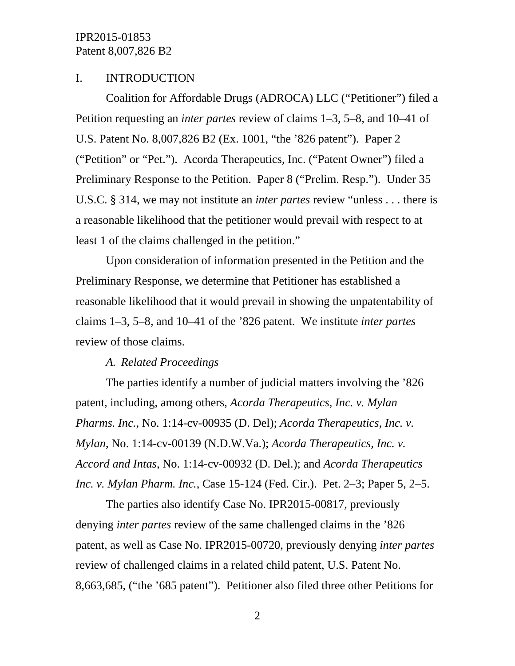### I. INTRODUCTION

Coalition for Affordable Drugs (ADROCA) LLC ("Petitioner") filed a Petition requesting an *inter partes* review of claims 1–3, 5–8, and 10–41 of U.S. Patent No. 8,007,826 B2 (Ex. 1001, "the '826 patent"). Paper 2 ("Petition" or "Pet."). Acorda Therapeutics, Inc. ("Patent Owner") filed a Preliminary Response to the Petition. Paper 8 ("Prelim. Resp."). Under 35 U.S.C. § 314, we may not institute an *inter partes* review "unless . . . there is a reasonable likelihood that the petitioner would prevail with respect to at least 1 of the claims challenged in the petition."

Upon consideration of information presented in the Petition and the Preliminary Response, we determine that Petitioner has established a reasonable likelihood that it would prevail in showing the unpatentability of claims 1–3, 5–8, and 10–41 of the '826 patent. We institute *inter partes* review of those claims.

#### *A. Related Proceedings*

The parties identify a number of judicial matters involving the '826 patent, including, among others, *Acorda Therapeutics, Inc. v. Mylan Pharms. Inc.*, No. 1:14-cv-00935 (D. Del); *Acorda Therapeutics, Inc. v. Mylan*, No. 1:14-cv-00139 (N.D.W.Va.); *Acorda Therapeutics, Inc. v. Accord and Intas*, No. 1:14-cv-00932 (D. Del.); and *Acorda Therapeutics Inc. v. Mylan Pharm. Inc.*, Case 15-124 (Fed. Cir.). Pet. 2–3; Paper 5, 2–5.

The parties also identify Case No. IPR2015-00817, previously denying *inter partes* review of the same challenged claims in the '826 patent, as well as Case No. IPR2015-00720, previously denying *inter partes* review of challenged claims in a related child patent, U.S. Patent No. 8,663,685, ("the '685 patent"). Petitioner also filed three other Petitions for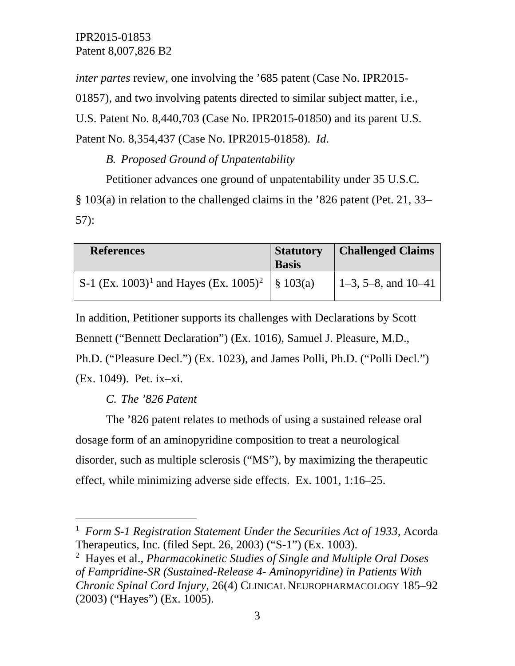*inter partes* review, one involving the '685 patent (Case No. IPR2015- 01857), and two involving patents directed to similar subject matter, i.e., U.S. Patent No. 8,440,703 (Case No. IPR2015-01850) and its parent U.S. Patent No. 8,354,437 (Case No. IPR2015-01858). *Id*.

*B. Proposed Ground of Unpatentability*

Petitioner advances one ground of unpatentability under 35 U.S.C. § 103(a) in relation to the challenged claims in the '826 patent (Pet. 21, 33– 57):

| <b>References</b>                                                        | <b>Statutory</b><br><b>Basis</b> | <b>Challenged Claims</b> |
|--------------------------------------------------------------------------|----------------------------------|--------------------------|
| S-1 (Ex. 1003) <sup>1</sup> and Hayes (Ex. 1005) <sup>2</sup>   § 103(a) |                                  | $1-3$ , 5-8, and 10-41   |

In addition, Petitioner supports its challenges with Declarations by Scott Bennett ("Bennett Declaration") (Ex. 1016), Samuel J. Pleasure, M.D., Ph.D. ("Pleasure Decl.") (Ex. 1023), and James Polli, Ph.D. ("Polli Decl.") (Ex. 1049). Pet. ix–xi.

*C. The '826 Patent*

The '826 patent relates to methods of using a sustained release oral dosage form of an aminopyridine composition to treat a neurological disorder, such as multiple sclerosis ("MS"), by maximizing the therapeutic effect, while minimizing adverse side effects. Ex. 1001, 1:16–25.

<span id="page-2-0"></span> $\frac{1}{1}$  *Form S-1 Registration Statement Under the Securities Act of 1933*, Acorda Therapeutics, Inc. (filed Sept. 26, 2003) ("S-1") (Ex. 1003).

<span id="page-2-1"></span><sup>2</sup> Hayes et al., *Pharmacokinetic Studies of Single and Multiple Oral Doses of Fampridine-SR (Sustained-Release 4- Aminopyridine) in Patients With Chronic Spinal Cord Injury*, 26(4) CLINICAL NEUROPHARMACOLOGY 185–92 (2003) ("Hayes") (Ex. 1005).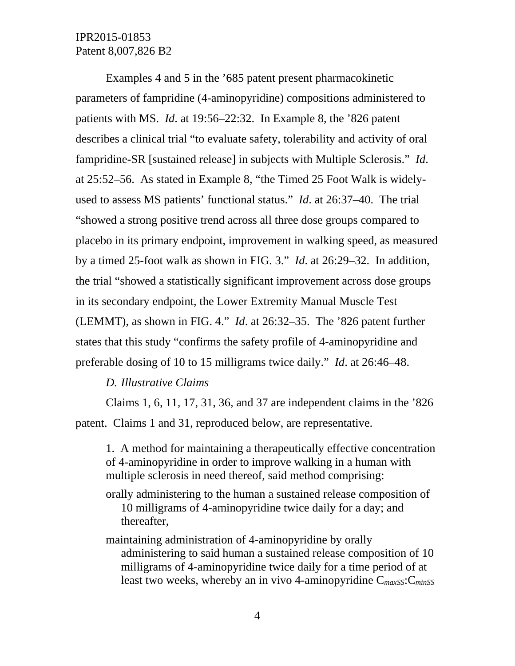Examples 4 and 5 in the '685 patent present pharmacokinetic parameters of fampridine (4-aminopyridine) compositions administered to patients with MS. *Id*. at 19:56–22:32. In Example 8, the '826 patent describes a clinical trial "to evaluate safety, tolerability and activity of oral fampridine-SR [sustained release] in subjects with Multiple Sclerosis." *Id*. at 25:52–56. As stated in Example 8, "the Timed 25 Foot Walk is widelyused to assess MS patients' functional status." *Id*. at 26:37–40. The trial "showed a strong positive trend across all three dose groups compared to placebo in its primary endpoint, improvement in walking speed, as measured by a timed 25-foot walk as shown in FIG. 3." *Id*. at 26:29–32. In addition, the trial "showed a statistically significant improvement across dose groups in its secondary endpoint, the Lower Extremity Manual Muscle Test (LEMMT), as shown in FIG. 4." *Id*. at 26:32–35. The '826 patent further states that this study "confirms the safety profile of 4-aminopyridine and preferable dosing of 10 to 15 milligrams twice daily." *Id*. at 26:46–48.

#### *D. Illustrative Claims*

Claims 1, 6, 11, 17, 31, 36, and 37 are independent claims in the '826 patent. Claims 1 and 31, reproduced below, are representative.

1. A method for maintaining a therapeutically effective concentration of 4-aminopyridine in order to improve walking in a human with multiple sclerosis in need thereof, said method comprising:

- orally administering to the human a sustained release composition of 10 milligrams of 4-aminopyridine twice daily for a day; and thereafter,
- maintaining administration of 4-aminopyridine by orally administering to said human a sustained release composition of 10 milligrams of 4-aminopyridine twice daily for a time period of at least two weeks, whereby an in vivo 4-aminopyridine C*maxSS*:C*minSS*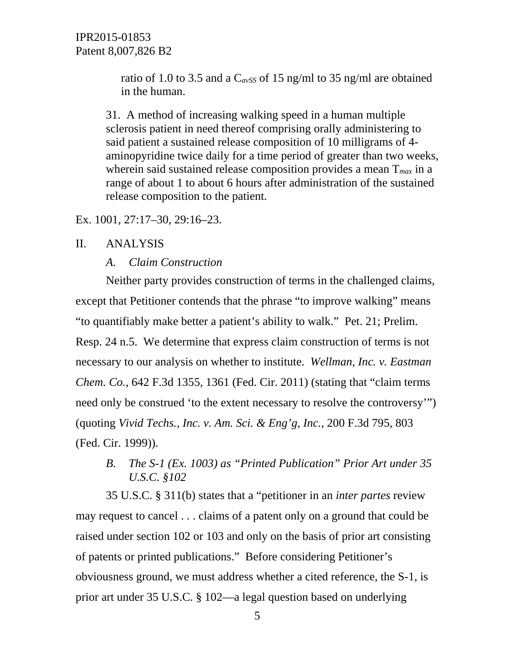ratio of 1.0 to 3.5 and a C*avSS* of 15 ng/ml to 35 ng/ml are obtained in the human.

31. A method of increasing walking speed in a human multiple sclerosis patient in need thereof comprising orally administering to said patient a sustained release composition of 10 milligrams of 4 aminopyridine twice daily for a time period of greater than two weeks, wherein said sustained release composition provides a mean T*max* in a range of about 1 to about 6 hours after administration of the sustained release composition to the patient.

Ex. 1001, 27:17–30, 29:16–23.

#### II. ANALYSIS

#### *A. Claim Construction*

Neither party provides construction of terms in the challenged claims, except that Petitioner contends that the phrase "to improve walking" means "to quantifiably make better a patient's ability to walk." Pet. 21; Prelim. Resp. 24 n.5. We determine that express claim construction of terms is not necessary to our analysis on whether to institute. *Wellman, Inc. v. Eastman Chem. Co.*, 642 F.3d 1355, 1361 (Fed. Cir. 2011) (stating that "claim terms need only be construed 'to the extent necessary to resolve the controversy'") (quoting *Vivid Techs., Inc. v. Am. Sci. & Eng'g, Inc.*, 200 F.3d 795, 803 (Fed. Cir. 1999)).

# *B. The S-1 (Ex. 1003) as "Printed Publication" Prior Art under 35 U.S.C. §102*

35 U.S.C. § 311(b) states that a "petitioner in an *inter partes* review may request to cancel . . . claims of a patent only on a ground that could be raised under section 102 or 103 and only on the basis of prior art consisting of patents or printed publications." Before considering Petitioner's obviousness ground, we must address whether a cited reference, the S-1, is prior art under 35 U.S.C. § 102—a legal question based on underlying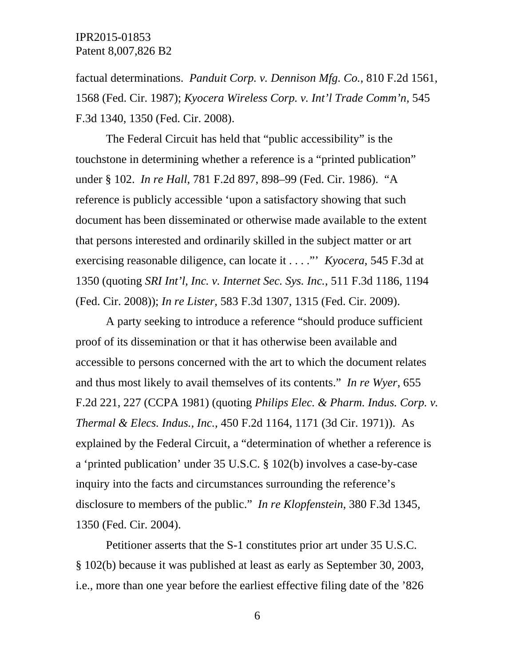factual determinations. *Panduit Corp. v. Dennison Mfg. Co.*, 810 F.2d 1561, 1568 (Fed. Cir. 1987); *Kyocera Wireless Corp. v. Int'l Trade Comm'n*, 545 F.3d 1340, 1350 (Fed. Cir. 2008).

The Federal Circuit has held that "public accessibility" is the touchstone in determining whether a reference is a "printed publication" under § 102. *In re Hall*, 781 F.2d 897, 898–99 (Fed. Cir. 1986). "A reference is publicly accessible 'upon a satisfactory showing that such document has been disseminated or otherwise made available to the extent that persons interested and ordinarily skilled in the subject matter or art exercising reasonable diligence, can locate it . . . ."' *Kyocera*, 545 F.3d at 1350 (quoting *SRI Int'l, Inc. v. Internet Sec. Sys. Inc.*, 511 F.3d 1186, 1194 (Fed. Cir. 2008)); *In re Lister*, 583 F.3d 1307, 1315 (Fed. Cir. 2009).

A party seeking to introduce a reference "should produce sufficient proof of its dissemination or that it has otherwise been available and accessible to persons concerned with the art to which the document relates and thus most likely to avail themselves of its contents." *In re Wyer*, 655 F.2d 221, 227 (CCPA 1981) (quoting *Philips Elec. & Pharm. Indus. Corp. v. Thermal & Elecs. Indus., Inc.*, 450 F.2d 1164, 1171 (3d Cir. 1971)). As explained by the Federal Circuit, a "determination of whether a reference is a 'printed publication' under 35 U.S.C. § 102(b) involves a case-by-case inquiry into the facts and circumstances surrounding the reference's disclosure to members of the public." *In re Klopfenstein*, 380 F.3d 1345, 1350 (Fed. Cir. 2004).

Petitioner asserts that the S-1 constitutes prior art under 35 U.S.C. § 102(b) because it was published at least as early as September 30, 2003, i.e., more than one year before the earliest effective filing date of the '826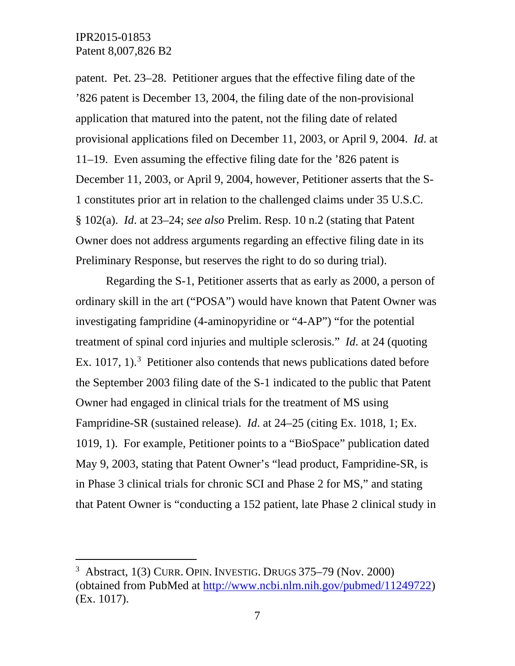patent. Pet. 23–28. Petitioner argues that the effective filing date of the '826 patent is December 13, 2004, the filing date of the non-provisional application that matured into the patent, not the filing date of related provisional applications filed on December 11, 2003, or April 9, 2004. *Id*. at 11–19. Even assuming the effective filing date for the '826 patent is December 11, 2003, or April 9, 2004, however, Petitioner asserts that the S-1 constitutes prior art in relation to the challenged claims under 35 U.S.C. § 102(a). *Id*. at 23–24; *see also* Prelim. Resp. 10 n.2 (stating that Patent Owner does not address arguments regarding an effective filing date in its Preliminary Response, but reserves the right to do so during trial).

Regarding the S-1, Petitioner asserts that as early as 2000, a person of ordinary skill in the art ("POSA") would have known that Patent Owner was investigating fampridine (4-aminopyridine or "4-AP") "for the potential treatment of spinal cord injuries and multiple sclerosis." *Id*. at 24 (quoting Ex.  $1017$ ,  $1$ ).<sup>[3](#page-6-0)</sup> Petitioner also contends that news publications dated before the September 2003 filing date of the S-1 indicated to the public that Patent Owner had engaged in clinical trials for the treatment of MS using Fampridine-SR (sustained release). *Id*. at 24–25 (citing Ex. 1018, 1; Ex. 1019, 1). For example, Petitioner points to a "BioSpace" publication dated May 9, 2003, stating that Patent Owner's "lead product, Fampridine-SR, is in Phase 3 clinical trials for chronic SCI and Phase 2 for MS," and stating that Patent Owner is "conducting a 152 patient, late Phase 2 clinical study in

<span id="page-6-0"></span> $\frac{1}{3}$  $3$  Abstract, 1(3) CURR. OPIN. INVESTIG. DRUGS  $375-79$  (Nov. 2000) (obtained from PubMed at [http://www.ncbi.nlm.nih.gov/pubmed/11249722\)](http://www.ncbi.nlm.nih.gov/pubmed/11249722) (Ex. 1017).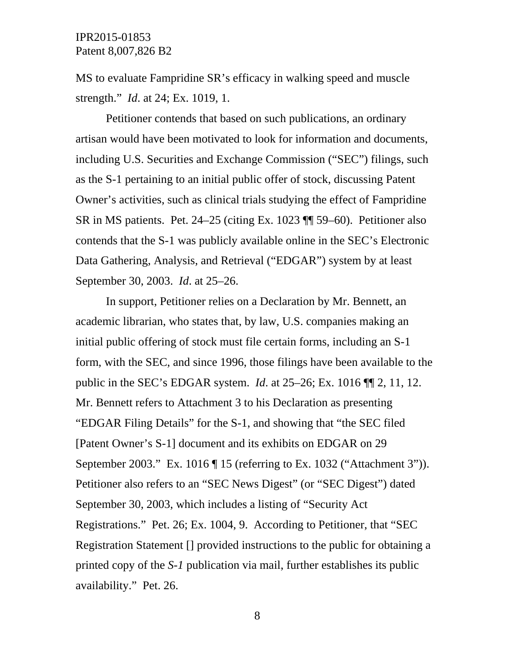MS to evaluate Fampridine SR's efficacy in walking speed and muscle strength." *Id*. at 24; Ex. 1019, 1.

Petitioner contends that based on such publications, an ordinary artisan would have been motivated to look for information and documents, including U.S. Securities and Exchange Commission ("SEC") filings, such as the S-1 pertaining to an initial public offer of stock, discussing Patent Owner's activities, such as clinical trials studying the effect of Fampridine SR in MS patients. Pet. 24–25 (citing Ex. 1023 ¶¶ 59–60). Petitioner also contends that the S-1 was publicly available online in the SEC's Electronic Data Gathering, Analysis, and Retrieval ("EDGAR") system by at least September 30, 2003. *Id*. at 25–26.

In support, Petitioner relies on a Declaration by Mr. Bennett, an academic librarian, who states that, by law, U.S. companies making an initial public offering of stock must file certain forms, including an S-1 form, with the SEC, and since 1996, those filings have been available to the public in the SEC's EDGAR system. *Id*. at 25–26; Ex. 1016 ¶¶ 2, 11, 12. Mr. Bennett refers to Attachment 3 to his Declaration as presenting "EDGAR Filing Details" for the S-1, and showing that "the SEC filed [Patent Owner's S-1] document and its exhibits on EDGAR on 29 September 2003." Ex. 1016 | 15 (referring to Ex. 1032 ("Attachment 3")). Petitioner also refers to an "SEC News Digest" (or "SEC Digest") dated September 30, 2003, which includes a listing of "Security Act Registrations." Pet. 26; Ex. 1004, 9. According to Petitioner, that "SEC Registration Statement [] provided instructions to the public for obtaining a printed copy of the *S-1* publication via mail, further establishes its public availability." Pet. 26.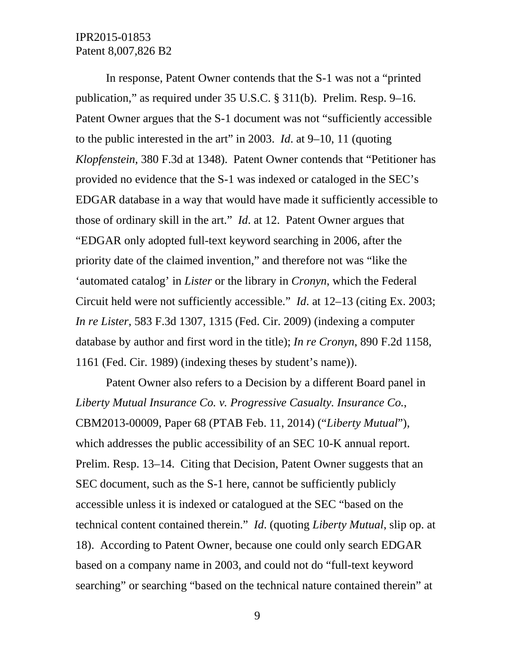In response, Patent Owner contends that the S-1 was not a "printed publication," as required under 35 U.S.C. § 311(b). Prelim. Resp. 9–16. Patent Owner argues that the S-1 document was not "sufficiently accessible to the public interested in the art" in 2003. *Id*. at 9–10, 11 (quoting *Klopfenstein*, 380 F.3d at 1348). Patent Owner contends that "Petitioner has provided no evidence that the S-1 was indexed or cataloged in the SEC's EDGAR database in a way that would have made it sufficiently accessible to those of ordinary skill in the art." *Id*. at 12. Patent Owner argues that "EDGAR only adopted full-text keyword searching in 2006, after the priority date of the claimed invention," and therefore not was "like the 'automated catalog' in *Lister* or the library in *Cronyn*, which the Federal Circuit held were not sufficiently accessible." *Id*. at 12–13 (citing Ex. 2003; *In re Lister*, 583 F.3d 1307, 1315 (Fed. Cir. 2009) (indexing a computer database by author and first word in the title); *In re Cronyn*, 890 F.2d 1158, 1161 (Fed. Cir. 1989) (indexing theses by student's name)).

Patent Owner also refers to a Decision by a different Board panel in *Liberty Mutual Insurance Co. v. Progressive Casualty. Insurance Co.*, CBM2013-00009, Paper 68 (PTAB Feb. 11, 2014) ("*Liberty Mutual*"), which addresses the public accessibility of an SEC 10-K annual report. Prelim. Resp. 13–14. Citing that Decision, Patent Owner suggests that an SEC document, such as the S-1 here, cannot be sufficiently publicly accessible unless it is indexed or catalogued at the SEC "based on the technical content contained therein." *Id*. (quoting *Liberty Mutual*, slip op. at 18). According to Patent Owner, because one could only search EDGAR based on a company name in 2003, and could not do "full-text keyword searching" or searching "based on the technical nature contained therein" at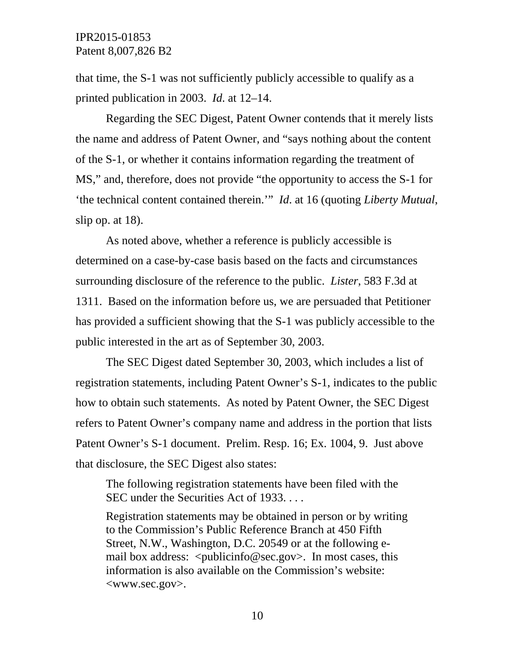that time, the S-1 was not sufficiently publicly accessible to qualify as a printed publication in 2003. *Id*. at 12–14.

Regarding the SEC Digest, Patent Owner contends that it merely lists the name and address of Patent Owner, and "says nothing about the content of the S-1, or whether it contains information regarding the treatment of MS," and, therefore, does not provide "the opportunity to access the S-1 for 'the technical content contained therein.'" *Id*. at 16 (quoting *Liberty Mutual*, slip op. at 18).

As noted above, whether a reference is publicly accessible is determined on a case-by-case basis based on the facts and circumstances surrounding disclosure of the reference to the public. *Lister*, 583 F.3d at 1311. Based on the information before us, we are persuaded that Petitioner has provided a sufficient showing that the S-1 was publicly accessible to the public interested in the art as of September 30, 2003.

The SEC Digest dated September 30, 2003, which includes a list of registration statements, including Patent Owner's S-1, indicates to the public how to obtain such statements. As noted by Patent Owner, the SEC Digest refers to Patent Owner's company name and address in the portion that lists Patent Owner's S-1 document. Prelim. Resp. 16; Ex. 1004, 9. Just above that disclosure, the SEC Digest also states:

The following registration statements have been filed with the SEC under the Securities Act of 1933...

Registration statements may be obtained in person or by writing to the Commission's Public Reference Branch at 450 Fifth Street, N.W., Washington, D.C. 20549 or at the following email box address:  $\langle \text{publicinfo@sec.gov} \rangle$ . In most cases, this information is also available on the Commission's website: <www.sec.gov>.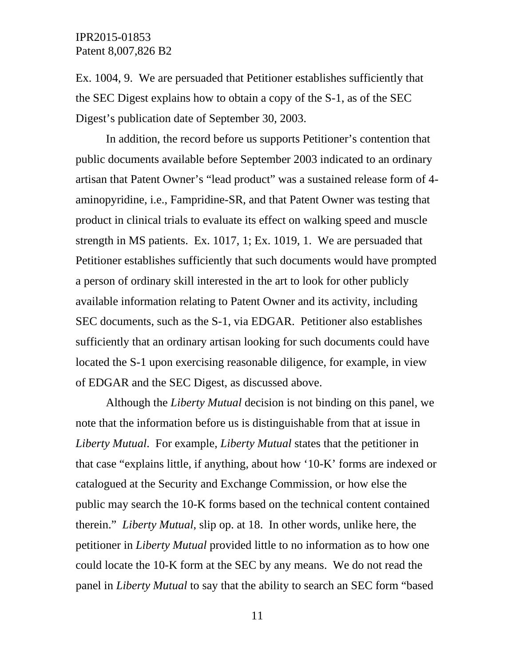Ex. 1004, 9. We are persuaded that Petitioner establishes sufficiently that the SEC Digest explains how to obtain a copy of the S-1, as of the SEC Digest's publication date of September 30, 2003.

In addition, the record before us supports Petitioner's contention that public documents available before September 2003 indicated to an ordinary artisan that Patent Owner's "lead product" was a sustained release form of 4 aminopyridine, i.e., Fampridine-SR, and that Patent Owner was testing that product in clinical trials to evaluate its effect on walking speed and muscle strength in MS patients. Ex. 1017, 1; Ex. 1019, 1. We are persuaded that Petitioner establishes sufficiently that such documents would have prompted a person of ordinary skill interested in the art to look for other publicly available information relating to Patent Owner and its activity, including SEC documents, such as the S-1, via EDGAR. Petitioner also establishes sufficiently that an ordinary artisan looking for such documents could have located the S-1 upon exercising reasonable diligence, for example, in view of EDGAR and the SEC Digest, as discussed above.

Although the *Liberty Mutual* decision is not binding on this panel, we note that the information before us is distinguishable from that at issue in *Liberty Mutual*. For example, *Liberty Mutual* states that the petitioner in that case "explains little, if anything, about how '10-K' forms are indexed or catalogued at the Security and Exchange Commission, or how else the public may search the 10-K forms based on the technical content contained therein." *Liberty Mutual*, slip op. at 18. In other words, unlike here, the petitioner in *Liberty Mutual* provided little to no information as to how one could locate the 10-K form at the SEC by any means. We do not read the panel in *Liberty Mutual* to say that the ability to search an SEC form "based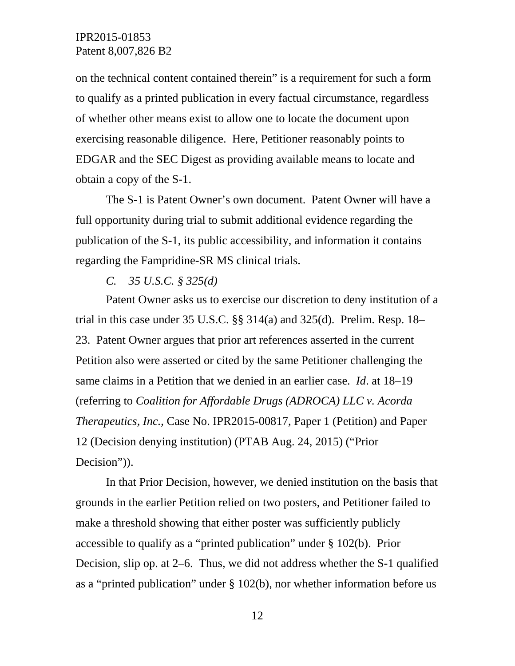on the technical content contained therein" is a requirement for such a form to qualify as a printed publication in every factual circumstance, regardless of whether other means exist to allow one to locate the document upon exercising reasonable diligence. Here, Petitioner reasonably points to EDGAR and the SEC Digest as providing available means to locate and obtain a copy of the S-1.

The S-1 is Patent Owner's own document. Patent Owner will have a full opportunity during trial to submit additional evidence regarding the publication of the S-1, its public accessibility, and information it contains regarding the Fampridine-SR MS clinical trials.

#### *C. 35 U.S.C. § 325(d)*

Patent Owner asks us to exercise our discretion to deny institution of a trial in this case under  $35 \text{ U.S.C.}$  §§  $314(a)$  and  $325(d)$ . Prelim. Resp.  $18-$ 23. Patent Owner argues that prior art references asserted in the current Petition also were asserted or cited by the same Petitioner challenging the same claims in a Petition that we denied in an earlier case. *Id*. at 18–19 (referring to *Coalition for Affordable Drugs (ADROCA) LLC v. Acorda Therapeutics, Inc.*, Case No. IPR2015-00817, Paper 1 (Petition) and Paper 12 (Decision denying institution) (PTAB Aug. 24, 2015) ("Prior Decision")).

In that Prior Decision, however, we denied institution on the basis that grounds in the earlier Petition relied on two posters, and Petitioner failed to make a threshold showing that either poster was sufficiently publicly accessible to qualify as a "printed publication" under § 102(b). Prior Decision, slip op. at 2–6. Thus, we did not address whether the S-1 qualified as a "printed publication" under § 102(b), nor whether information before us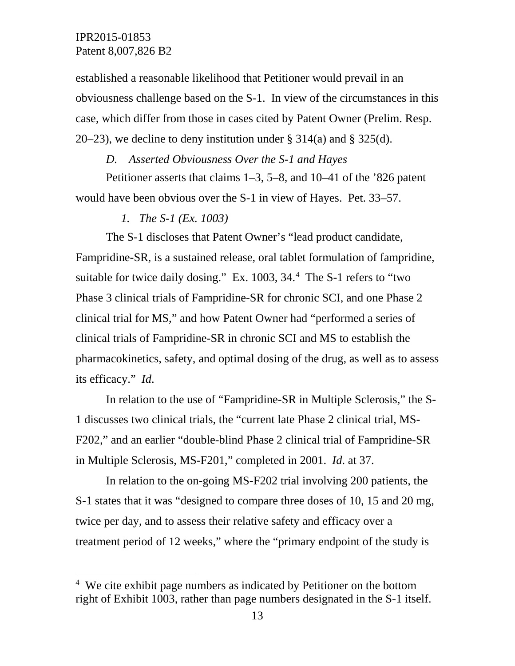established a reasonable likelihood that Petitioner would prevail in an obviousness challenge based on the S-1. In view of the circumstances in this case, which differ from those in cases cited by Patent Owner (Prelim. Resp. 20–23), we decline to deny institution under  $\S 314(a)$  and  $\S 325(d)$ .

#### *D. Asserted Obviousness Over the S-1 and Hayes*

Petitioner asserts that claims 1–3, 5–8, and 10–41 of the '826 patent would have been obvious over the S-1 in view of Hayes. Pet. 33–57.

*1. The S-1 (Ex. 1003)* 

The S-1 discloses that Patent Owner's "lead product candidate, Fampridine-SR, is a sustained release, oral tablet formulation of fampridine, suitable for twice daily dosing." Ex. 1003, 3[4](#page-12-0).<sup>4</sup> The S-1 refers to "two Phase 3 clinical trials of Fampridine-SR for chronic SCI, and one Phase 2 clinical trial for MS," and how Patent Owner had "performed a series of clinical trials of Fampridine-SR in chronic SCI and MS to establish the pharmacokinetics, safety, and optimal dosing of the drug, as well as to assess its efficacy." *Id*.

In relation to the use of "Fampridine-SR in Multiple Sclerosis," the S-1 discusses two clinical trials, the "current late Phase 2 clinical trial, MS-F202," and an earlier "double-blind Phase 2 clinical trial of Fampridine-SR in Multiple Sclerosis, MS-F201," completed in 2001. *Id*. at 37.

In relation to the on-going MS-F202 trial involving 200 patients, the S-1 states that it was "designed to compare three doses of 10, 15 and 20 mg, twice per day, and to assess their relative safety and efficacy over a treatment period of 12 weeks," where the "primary endpoint of the study is

<span id="page-12-0"></span> $\frac{1}{4}$ <sup>4</sup> We cite exhibit page numbers as indicated by Petitioner on the bottom right of Exhibit 1003, rather than page numbers designated in the S-1 itself.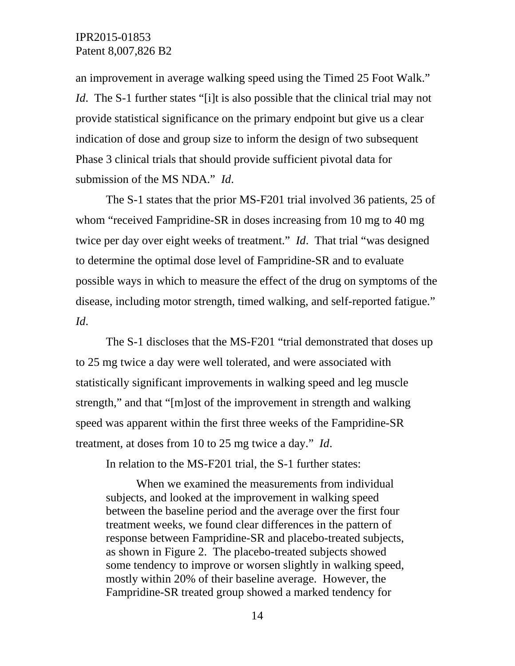an improvement in average walking speed using the Timed 25 Foot Walk." *Id*. The S-1 further states "[i]t is also possible that the clinical trial may not provide statistical significance on the primary endpoint but give us a clear indication of dose and group size to inform the design of two subsequent Phase 3 clinical trials that should provide sufficient pivotal data for submission of the MS NDA." *Id*.

The S-1 states that the prior MS-F201 trial involved 36 patients, 25 of whom "received Fampridine-SR in doses increasing from 10 mg to 40 mg twice per day over eight weeks of treatment." *Id*. That trial "was designed to determine the optimal dose level of Fampridine-SR and to evaluate possible ways in which to measure the effect of the drug on symptoms of the disease, including motor strength, timed walking, and self-reported fatigue." *Id*.

The S-1 discloses that the MS-F201 "trial demonstrated that doses up to 25 mg twice a day were well tolerated, and were associated with statistically significant improvements in walking speed and leg muscle strength," and that "[m]ost of the improvement in strength and walking speed was apparent within the first three weeks of the Fampridine-SR treatment, at doses from 10 to 25 mg twice a day." *Id*.

In relation to the MS-F201 trial, the S-1 further states:

When we examined the measurements from individual subjects, and looked at the improvement in walking speed between the baseline period and the average over the first four treatment weeks, we found clear differences in the pattern of response between Fampridine-SR and placebo-treated subjects, as shown in Figure 2. The placebo-treated subjects showed some tendency to improve or worsen slightly in walking speed, mostly within 20% of their baseline average. However, the Fampridine-SR treated group showed a marked tendency for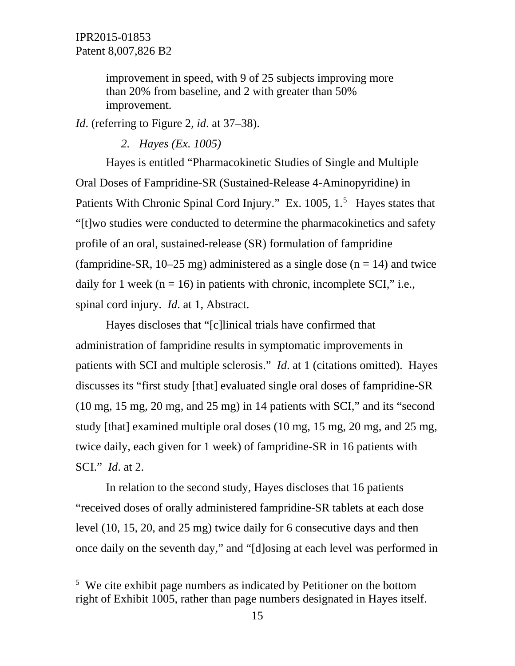improvement in speed, with 9 of 25 subjects improving more than 20% from baseline, and 2 with greater than 50% improvement.

*Id*. (referring to Figure 2, *id*. at 37–38).

*2. Hayes (Ex. 1005)* 

Hayes is entitled "Pharmacokinetic Studies of Single and Multiple Oral Doses of Fampridine-SR (Sustained-Release 4-Aminopyridine) in Patients With Chronic Spinal Cord Injury." Ex. 100[5](#page-14-0), 1.<sup>5</sup> Hayes states that "[t]wo studies were conducted to determine the pharmacokinetics and safety profile of an oral, sustained-release (SR) formulation of fampridine (fampridine-SR,  $10-25$  mg) administered as a single dose (n = 14) and twice daily for 1 week ( $n = 16$ ) in patients with chronic, incomplete SCI," i.e., spinal cord injury. *Id*. at 1, Abstract.

Hayes discloses that "[c]linical trials have confirmed that administration of fampridine results in symptomatic improvements in patients with SCI and multiple sclerosis." *Id*. at 1 (citations omitted). Hayes discusses its "first study [that] evaluated single oral doses of fampridine-SR (10 mg, 15 mg, 20 mg, and 25 mg) in 14 patients with SCI," and its "second study [that] examined multiple oral doses (10 mg, 15 mg, 20 mg, and 25 mg, twice daily, each given for 1 week) of fampridine-SR in 16 patients with SCI." *Id*. at 2.

In relation to the second study, Hayes discloses that 16 patients "received doses of orally administered fampridine-SR tablets at each dose level (10, 15, 20, and 25 mg) twice daily for 6 consecutive days and then once daily on the seventh day," and "[d]osing at each level was performed in

<span id="page-14-0"></span> $\frac{1}{5}$ <sup>5</sup> We cite exhibit page numbers as indicated by Petitioner on the bottom right of Exhibit 1005, rather than page numbers designated in Hayes itself.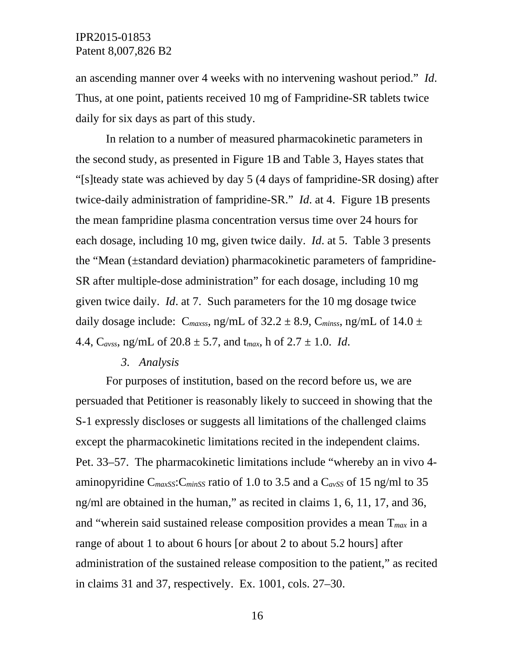an ascending manner over 4 weeks with no intervening washout period." *Id*. Thus, at one point, patients received 10 mg of Fampridine-SR tablets twice daily for six days as part of this study.

In relation to a number of measured pharmacokinetic parameters in the second study, as presented in Figure 1B and Table 3, Hayes states that "[s]teady state was achieved by day 5 (4 days of fampridine-SR dosing) after twice-daily administration of fampridine-SR." *Id*. at 4. Figure 1B presents the mean fampridine plasma concentration versus time over 24 hours for each dosage, including 10 mg, given twice daily. *Id*. at 5. Table 3 presents the "Mean (±standard deviation) pharmacokinetic parameters of fampridine-SR after multiple-dose administration" for each dosage, including 10 mg given twice daily. *Id*. at 7. Such parameters for the 10 mg dosage twice daily dosage include:  $C_{maxss}$ , ng/mL of 32.2  $\pm$  8.9,  $C_{minss}$ , ng/mL of 14.0  $\pm$ 4.4, C*avss*, ng/mL of 20.8 ± 5.7, and t*max*, h of 2.7 ± 1.0. *Id*.

## *3. Analysis*

For purposes of institution, based on the record before us, we are persuaded that Petitioner is reasonably likely to succeed in showing that the S-1 expressly discloses or suggests all limitations of the challenged claims except the pharmacokinetic limitations recited in the independent claims. Pet. 33–57. The pharmacokinetic limitations include "whereby an in vivo 4 aminopyridine C*maxSS*:C*minSS* ratio of 1.0 to 3.5 and a C*avSS* of 15 ng/ml to 35 ng/ml are obtained in the human," as recited in claims 1, 6, 11, 17, and 36, and "wherein said sustained release composition provides a mean T*max* in a range of about 1 to about 6 hours [or about 2 to about 5.2 hours] after administration of the sustained release composition to the patient," as recited in claims 31 and 37, respectively. Ex. 1001, cols. 27–30.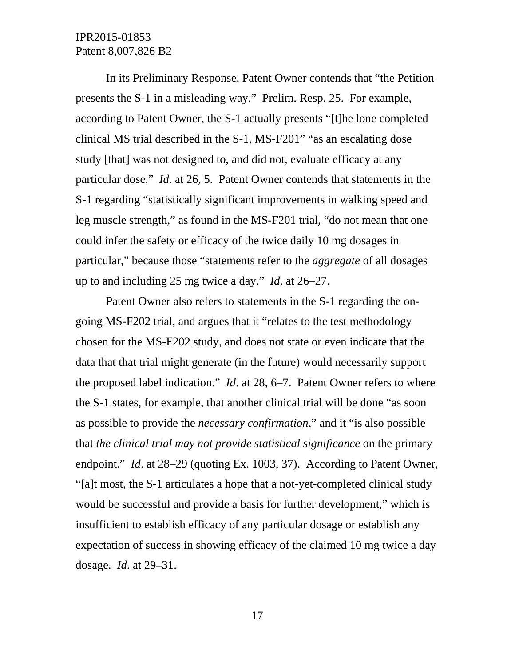In its Preliminary Response, Patent Owner contends that "the Petition presents the S-1 in a misleading way." Prelim. Resp. 25. For example, according to Patent Owner, the S-1 actually presents "[t]he lone completed clinical MS trial described in the S-1, MS-F201" "as an escalating dose study [that] was not designed to, and did not, evaluate efficacy at any particular dose." *Id*. at 26, 5. Patent Owner contends that statements in the S-1 regarding "statistically significant improvements in walking speed and leg muscle strength," as found in the MS-F201 trial, "do not mean that one could infer the safety or efficacy of the twice daily 10 mg dosages in particular," because those "statements refer to the *aggregate* of all dosages up to and including 25 mg twice a day." *Id*. at 26–27.

Patent Owner also refers to statements in the S-1 regarding the ongoing MS-F202 trial, and argues that it "relates to the test methodology chosen for the MS-F202 study, and does not state or even indicate that the data that that trial might generate (in the future) would necessarily support the proposed label indication." *Id*. at 28, 6–7. Patent Owner refers to where the S-1 states, for example, that another clinical trial will be done "as soon as possible to provide the *necessary confirmation*," and it "is also possible that *the clinical trial may not provide statistical significance* on the primary endpoint." *Id*. at 28–29 (quoting Ex. 1003, 37). According to Patent Owner, "[a]t most, the S-1 articulates a hope that a not-yet-completed clinical study would be successful and provide a basis for further development," which is insufficient to establish efficacy of any particular dosage or establish any expectation of success in showing efficacy of the claimed 10 mg twice a day dosage. *Id*. at 29–31.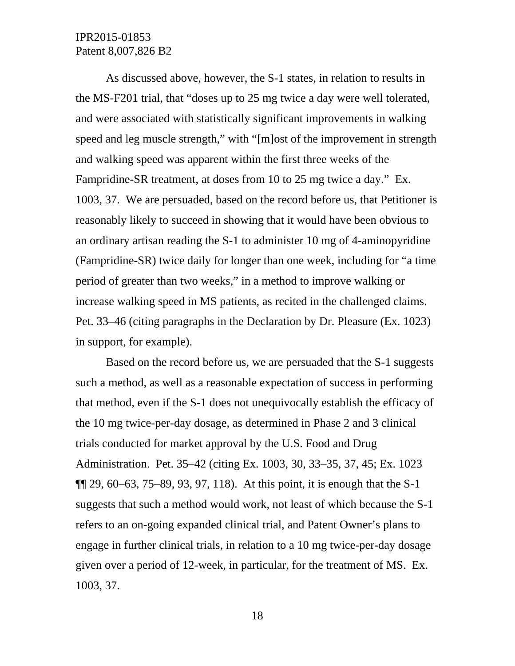As discussed above, however, the S-1 states, in relation to results in the MS-F201 trial, that "doses up to 25 mg twice a day were well tolerated, and were associated with statistically significant improvements in walking speed and leg muscle strength," with "[m]ost of the improvement in strength and walking speed was apparent within the first three weeks of the Fampridine-SR treatment, at doses from 10 to 25 mg twice a day." Ex. 1003, 37. We are persuaded, based on the record before us, that Petitioner is reasonably likely to succeed in showing that it would have been obvious to an ordinary artisan reading the S-1 to administer 10 mg of 4-aminopyridine (Fampridine-SR) twice daily for longer than one week, including for "a time period of greater than two weeks," in a method to improve walking or increase walking speed in MS patients, as recited in the challenged claims. Pet. 33–46 (citing paragraphs in the Declaration by Dr. Pleasure (Ex. 1023) in support, for example).

Based on the record before us, we are persuaded that the S-1 suggests such a method, as well as a reasonable expectation of success in performing that method, even if the S-1 does not unequivocally establish the efficacy of the 10 mg twice-per-day dosage, as determined in Phase 2 and 3 clinical trials conducted for market approval by the U.S. Food and Drug Administration. Pet. 35–42 (citing Ex. 1003, 30, 33–35, 37, 45; Ex. 1023  $\P$ [29, 60–63, 75–89, 93, 97, 118). At this point, it is enough that the S-1 suggests that such a method would work, not least of which because the S-1 refers to an on-going expanded clinical trial, and Patent Owner's plans to engage in further clinical trials, in relation to a 10 mg twice-per-day dosage given over a period of 12-week, in particular, for the treatment of MS. Ex. 1003, 37.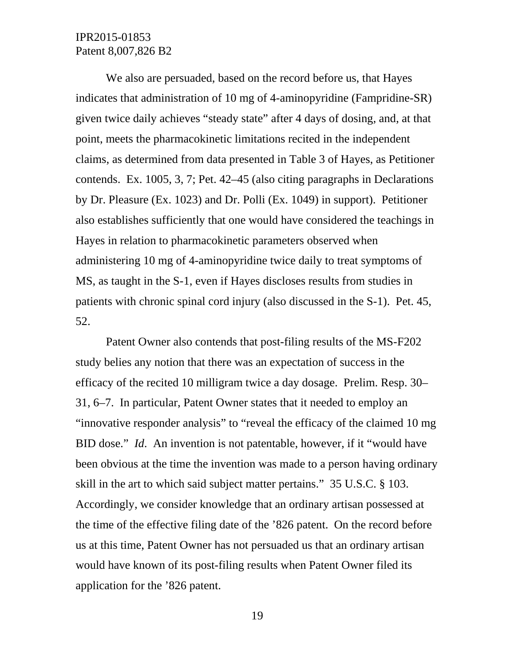We also are persuaded, based on the record before us, that Hayes indicates that administration of 10 mg of 4-aminopyridine (Fampridine-SR) given twice daily achieves "steady state" after 4 days of dosing, and, at that point, meets the pharmacokinetic limitations recited in the independent claims, as determined from data presented in Table 3 of Hayes, as Petitioner contends. Ex. 1005, 3, 7; Pet. 42–45 (also citing paragraphs in Declarations by Dr. Pleasure (Ex. 1023) and Dr. Polli (Ex. 1049) in support). Petitioner also establishes sufficiently that one would have considered the teachings in Hayes in relation to pharmacokinetic parameters observed when administering 10 mg of 4-aminopyridine twice daily to treat symptoms of MS, as taught in the S-1, even if Hayes discloses results from studies in patients with chronic spinal cord injury (also discussed in the S-1). Pet. 45, 52.

Patent Owner also contends that post-filing results of the MS-F202 study belies any notion that there was an expectation of success in the efficacy of the recited 10 milligram twice a day dosage. Prelim. Resp. 30– 31, 6–7. In particular, Patent Owner states that it needed to employ an "innovative responder analysis" to "reveal the efficacy of the claimed 10 mg BID dose." *Id*. An invention is not patentable, however, if it "would have been obvious at the time the invention was made to a person having ordinary skill in the art to which said subject matter pertains." 35 U.S.C. § 103. Accordingly, we consider knowledge that an ordinary artisan possessed at the time of the effective filing date of the '826 patent. On the record before us at this time, Patent Owner has not persuaded us that an ordinary artisan would have known of its post-filing results when Patent Owner filed its application for the '826 patent.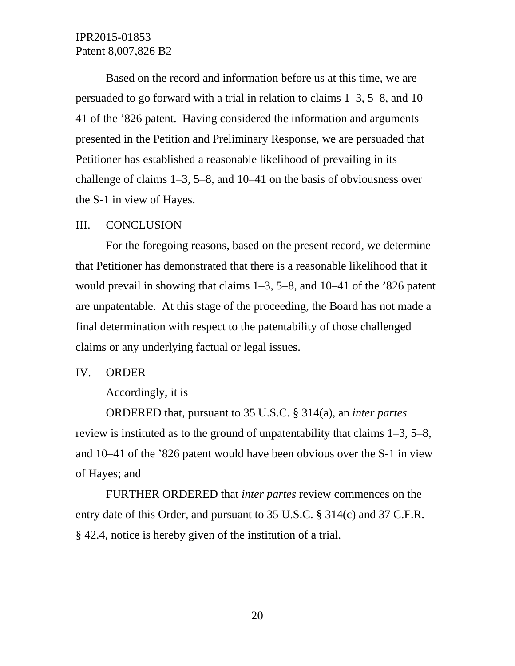Based on the record and information before us at this time, we are persuaded to go forward with a trial in relation to claims 1–3, 5–8, and 10– 41 of the '826 patent. Having considered the information and arguments presented in the Petition and Preliminary Response, we are persuaded that Petitioner has established a reasonable likelihood of prevailing in its challenge of claims 1–3, 5–8, and 10–41 on the basis of obviousness over the S-1 in view of Hayes.

#### III. CONCLUSION

For the foregoing reasons, based on the present record, we determine that Petitioner has demonstrated that there is a reasonable likelihood that it would prevail in showing that claims 1–3, 5–8, and 10–41 of the '826 patent are unpatentable. At this stage of the proceeding, the Board has not made a final determination with respect to the patentability of those challenged claims or any underlying factual or legal issues.

#### IV. ORDER

Accordingly, it is

ORDERED that, pursuant to 35 U.S.C. § 314(a), an *inter partes* review is instituted as to the ground of unpatentability that claims 1–3, 5–8, and 10–41 of the '826 patent would have been obvious over the S-1 in view of Hayes; and

FURTHER ORDERED that *inter partes* review commences on the entry date of this Order, and pursuant to 35 U.S.C. § 314(c) and 37 C.F.R. § 42.4, notice is hereby given of the institution of a trial.